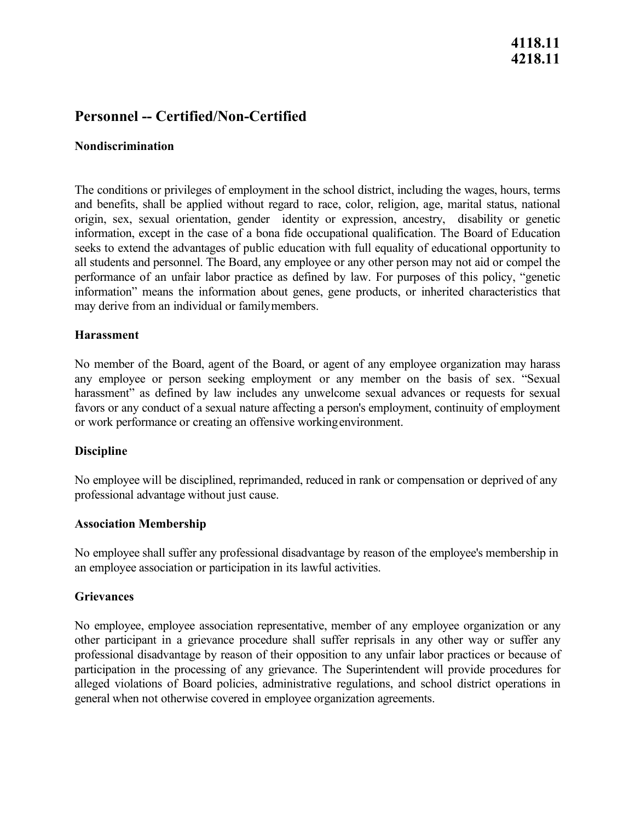# **4118.11 4218.11**

# **Personnel -- Certified/Non-Certified**

#### **Nondiscrimination**

 origin, sex, sexual orientation, gender identity or expression, ancestry, disability or genetic all students and personnel. The Board, any employee or any other person may not aid or compel the may derive from an individual or familymembers. The conditions or privileges of employment in the school district, including the wages, hours, terms and benefits, shall be applied without regard to race, color, religion, age, marital status, national information, except in the case of a bona fide occupational qualification. The Board of Education seeks to extend the advantages of public education with full equality of educational opportunity to performance of an unfair labor practice as defined by law. For purposes of this policy, "genetic information" means the information about genes, gene products, or inherited characteristics that

#### **Harassment**

 harassment" as defined by law includes any unwelcome sexual advances or requests for sexual or work performance or creating an offensive workingenvironment. No member of the Board, agent of the Board, or agent of any employee organization may harass any employee or person seeking employment or any member on the basis of sex. "Sexual favors or any conduct of a sexual nature affecting a person's employment, continuity of employment

#### **Discipline**

 No employee will be disciplined, reprimanded, reduced in rank or compensation or deprived of any professional advantage without just cause.

#### **Association Membership**

No employee shall suffer any professional disadvantage by reason of the employee's membership in an employee association or participation in its lawful activities.

#### **Grievances**

No employee, employee association representative, member of any employee organization or any other participant in a grievance procedure shall suffer reprisals in any other way or suffer any professional disadvantage by reason of their opposition to any unfair labor practices or because of participation in the processing of any grievance. The Superintendent will provide procedures for alleged violations of Board policies, administrative regulations, and school district operations in general when not otherwise covered in employee organization agreements.